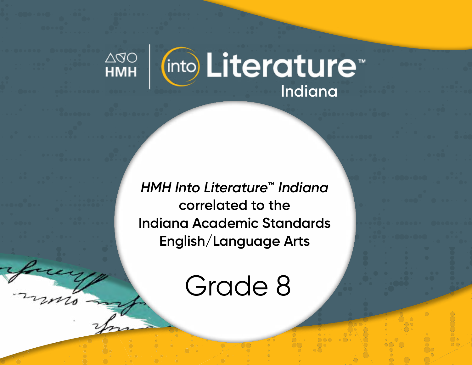

*HMH Into Literature***™** *Indiana* **correlated to the Indiana Academic Standards English/Language Arts** 

Grade 8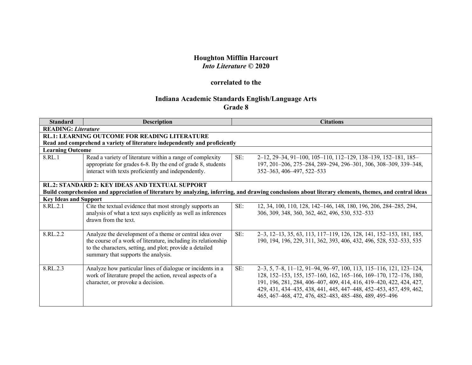## **Houghton Mifflin Harcourt** *Into Literature* **© 2020**

## **correlated to the**

## **Indiana Academic Standards English/Language Arts Grade 8**

| <b>Standard</b>              | <b>Description</b>                                                                                                                                                                                                           |     | <b>Citations</b>                                                                                                                                                                                                                                                                                                                              |  |  |
|------------------------------|------------------------------------------------------------------------------------------------------------------------------------------------------------------------------------------------------------------------------|-----|-----------------------------------------------------------------------------------------------------------------------------------------------------------------------------------------------------------------------------------------------------------------------------------------------------------------------------------------------|--|--|
|                              | <b>READING: Literature</b>                                                                                                                                                                                                   |     |                                                                                                                                                                                                                                                                                                                                               |  |  |
|                              | <b>RL.1: LEARNING OUTCOME FOR READING LITERATURE</b>                                                                                                                                                                         |     |                                                                                                                                                                                                                                                                                                                                               |  |  |
|                              | Read and comprehend a variety of literature independently and proficiently                                                                                                                                                   |     |                                                                                                                                                                                                                                                                                                                                               |  |  |
|                              | <b>Learning Outcome</b>                                                                                                                                                                                                      |     |                                                                                                                                                                                                                                                                                                                                               |  |  |
| 8.RL.1                       | Read a variety of literature within a range of complexity<br>appropriate for grades 6-8. By the end of grade 8, students<br>interact with texts proficiently and independently.                                              | SE: | 2–12, 29–34, 91–100, 105–110, 112–129, 138–139, 152–181, 185–<br>197, 201-206, 275-284, 289-294, 296-301, 306, 308-309, 339-348,<br>352-363, 406-497, 522-533                                                                                                                                                                                 |  |  |
|                              | <b>RL.2: STANDARD 2: KEY IDEAS AND TEXTUAL SUPPORT</b>                                                                                                                                                                       |     |                                                                                                                                                                                                                                                                                                                                               |  |  |
|                              |                                                                                                                                                                                                                              |     | Build comprehension and appreciation of literature by analyzing, inferring, and drawing conclusions about literary elements, themes, and central ideas                                                                                                                                                                                        |  |  |
| <b>Key Ideas and Support</b> |                                                                                                                                                                                                                              |     |                                                                                                                                                                                                                                                                                                                                               |  |  |
| 8.RL 2.1                     | Cite the textual evidence that most strongly supports an<br>analysis of what a text says explicitly as well as inferences<br>drawn from the text.                                                                            | SE: | 12, 34, 100, 110, 128, 142–146, 148, 180, 196, 206, 284–285, 294,<br>306, 309, 348, 360, 362, 462, 496, 530, 532–533                                                                                                                                                                                                                          |  |  |
| 8.RL.2.2                     | Analyze the development of a theme or central idea over<br>the course of a work of literature, including its relationship<br>to the characters, setting, and plot; provide a detailed<br>summary that supports the analysis. | SE: | 2–3, 12–13, 35, 63, 113, 117–119, 126, 128, 141, 152–153, 181, 185,<br>190, 194, 196, 229, 311, 362, 393, 406, 432, 496, 528, 532–533, 535                                                                                                                                                                                                    |  |  |
| 8.RL.2.3                     | Analyze how particular lines of dialogue or incidents in a<br>work of literature propel the action, reveal aspects of a<br>character, or provoke a decision.                                                                 | SE: | 2–3, 5, 7–8, 11–12, 91–94, 96–97, 100, 113, 115–116, 121, 123–124,<br>128, 152-153, 155, 157-160, 162, 165-166, 169-170, 172-176, 180,<br>191, 196, 281, 284, 406-407, 409, 414, 416, 419-420, 422, 424, 427,<br>429, 431, 434-435, 438, 441, 445, 447-448, 452-453, 457, 459, 462,<br>465, 467-468, 472, 476, 482-483, 485-486, 489, 495-496 |  |  |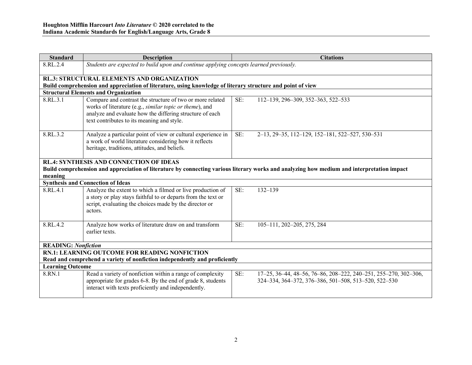| Standard                                                                   | <b>Description</b>                                                                                                           |     | <b>Citations</b>                                                                                                                           |  |
|----------------------------------------------------------------------------|------------------------------------------------------------------------------------------------------------------------------|-----|--------------------------------------------------------------------------------------------------------------------------------------------|--|
| 8.RL.2.4                                                                   | Students are expected to build upon and continue applying concepts learned previously.                                       |     |                                                                                                                                            |  |
|                                                                            |                                                                                                                              |     |                                                                                                                                            |  |
|                                                                            | <b>RL.3: STRUCTURAL ELEMENTS AND ORGANIZATION</b>                                                                            |     |                                                                                                                                            |  |
|                                                                            | Build comprehension and appreciation of literature, using knowledge of literary structure and point of view                  |     |                                                                                                                                            |  |
|                                                                            | <b>Structural Elements and Organization</b>                                                                                  |     |                                                                                                                                            |  |
| 8.RL.3.1                                                                   | Compare and contrast the structure of two or more related<br>works of literature (e.g., <i>similar topic or theme</i> ), and | SE: | 112-139, 296-309, 352-363, 522-533                                                                                                         |  |
|                                                                            | analyze and evaluate how the differing structure of each                                                                     |     |                                                                                                                                            |  |
|                                                                            | text contributes to its meaning and style.                                                                                   |     |                                                                                                                                            |  |
|                                                                            |                                                                                                                              |     |                                                                                                                                            |  |
| 8.RL.3.2                                                                   | Analyze a particular point of view or cultural experience in                                                                 | SE: | 2-13, 29-35, 112-129, 152-181, 522-527, 530-531                                                                                            |  |
|                                                                            | a work of world literature considering how it reflects                                                                       |     |                                                                                                                                            |  |
|                                                                            | heritage, traditions, attitudes, and beliefs.                                                                                |     |                                                                                                                                            |  |
|                                                                            |                                                                                                                              |     |                                                                                                                                            |  |
|                                                                            | <b>RL.4: SYNTHESIS AND CONNECTION OF IDEAS</b>                                                                               |     |                                                                                                                                            |  |
|                                                                            |                                                                                                                              |     | Build comprehension and appreciation of literature by connecting various literary works and analyzing how medium and interpretation impact |  |
| meaning                                                                    | <b>Synthesis and Connection of Ideas</b>                                                                                     |     |                                                                                                                                            |  |
| 8.RL.4.1                                                                   |                                                                                                                              | SE: | $132 - 139$                                                                                                                                |  |
|                                                                            | Analyze the extent to which a filmed or live production of<br>a story or play stays faithful to or departs from the text or  |     |                                                                                                                                            |  |
|                                                                            | script, evaluating the choices made by the director or                                                                       |     |                                                                                                                                            |  |
|                                                                            | actors.                                                                                                                      |     |                                                                                                                                            |  |
|                                                                            |                                                                                                                              |     |                                                                                                                                            |  |
| 8.RL.4.2                                                                   | Analyze how works of literature draw on and transform                                                                        | SE: | 105-111, 202-205, 275, 284                                                                                                                 |  |
|                                                                            | earlier texts.                                                                                                               |     |                                                                                                                                            |  |
|                                                                            |                                                                                                                              |     |                                                                                                                                            |  |
| <b>READING: Nonfiction</b>                                                 |                                                                                                                              |     |                                                                                                                                            |  |
| <b>RN.1: LEARNING OUTCOME FOR READING NONFICTION</b>                       |                                                                                                                              |     |                                                                                                                                            |  |
| Read and comprehend a variety of nonfiction independently and proficiently |                                                                                                                              |     |                                                                                                                                            |  |
| <b>Learning Outcome</b>                                                    |                                                                                                                              |     |                                                                                                                                            |  |
| 8.RN.1                                                                     | Read a variety of nonfiction within a range of complexity                                                                    | SE: | 17-25, 36-44, 48-56, 76-86, 208-222, 240-251, 255-270, 302-306,                                                                            |  |
|                                                                            | appropriate for grades 6-8. By the end of grade 8, students                                                                  |     | 324-334, 364-372, 376-386, 501-508, 513-520, 522-530                                                                                       |  |
|                                                                            | interact with texts proficiently and independently.                                                                          |     |                                                                                                                                            |  |
|                                                                            |                                                                                                                              |     |                                                                                                                                            |  |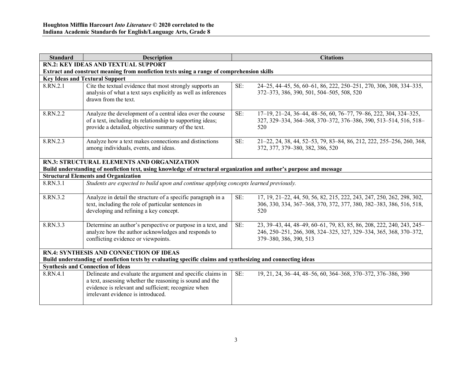| <b>Standard</b>                                                                                                                                               | <b>Description</b>                                                                                                                                                                                                  |     | <b>Citations</b>                                                                                                                                                     |  |  |
|---------------------------------------------------------------------------------------------------------------------------------------------------------------|---------------------------------------------------------------------------------------------------------------------------------------------------------------------------------------------------------------------|-----|----------------------------------------------------------------------------------------------------------------------------------------------------------------------|--|--|
|                                                                                                                                                               | <b>RN.2: KEY IDEAS AND TEXTUAL SUPPORT</b>                                                                                                                                                                          |     |                                                                                                                                                                      |  |  |
|                                                                                                                                                               | Extract and construct meaning from nonfiction texts using a range of comprehension skills                                                                                                                           |     |                                                                                                                                                                      |  |  |
|                                                                                                                                                               | <b>Key Ideas and Textural Support</b>                                                                                                                                                                               |     |                                                                                                                                                                      |  |  |
| 8.RN.2.1                                                                                                                                                      | Cite the textual evidence that most strongly supports an<br>analysis of what a text says explicitly as well as inferences<br>drawn from the text.                                                                   | SE: | 24–25, 44–45, 56, 60–61, 86, 222, 250–251, 270, 306, 308, 334–335,<br>372–373, 386, 390, 501, 504–505, 508, 520                                                      |  |  |
| 8.RN.2.2                                                                                                                                                      | Analyze the development of a central idea over the course<br>of a text, including its relationship to supporting ideas;<br>provide a detailed, objective summary of the text.                                       | SE: | 17-19, 21-24, 36-44, 48-56, 60, 76-77, 79-86, 222, 304, 324-325,<br>327, 329-334, 364-368, 370-372, 376-386, 390, 513-514, 516, 518-<br>520                          |  |  |
| 8.RN.2.3                                                                                                                                                      | Analyze how a text makes connections and distinctions<br>among individuals, events, and ideas.                                                                                                                      | SE: | 21-22, 24, 38, 44, 52-53, 79, 83-84, 86, 212, 222, 255-256, 260, 368,<br>372, 377, 379-380, 382, 386, 520                                                            |  |  |
|                                                                                                                                                               | <b>RN.3: STRUCTURAL ELEMENTS AND ORGANIZATION</b><br>Build understanding of nonfiction text, using knowledge of structural organization and author's purpose and message                                            |     |                                                                                                                                                                      |  |  |
|                                                                                                                                                               | <b>Structural Elements and Organization</b>                                                                                                                                                                         |     |                                                                                                                                                                      |  |  |
| 8.RN.3.1                                                                                                                                                      | Students are expected to build upon and continue applying concepts learned previously.                                                                                                                              |     |                                                                                                                                                                      |  |  |
| 8.RN.3.2                                                                                                                                                      | Analyze in detail the structure of a specific paragraph in a<br>text, including the role of particular sentences in<br>developing and refining a key concept.                                                       | SE: | 17, 19, 21-22, 44, 50, 56, 82, 215, 222, 243, 247, 250, 262, 298, 302,<br>306, 330, 334, 367–368, 370, 372, 377, 380, 382–383, 386, 516, 518,<br>520                 |  |  |
| 8.RN.3.3                                                                                                                                                      | Determine an author's perspective or purpose in a text, and<br>analyze how the author acknowledges and responds to<br>conflicting evidence or viewpoints.                                                           | SE: | 23, 39–43, 44, 48–49, 60–61, 79, 83, 85, 86, 208, 222, 240, 243, 245–<br>246, 250-251, 266, 308, 324-325, 327, 329-334, 365, 368, 370-372,<br>379-380, 386, 390, 513 |  |  |
| <b>RN.4: SYNTHESIS AND CONNECTION OF IDEAS</b><br>Build understanding of nonfiction texts by evaluating specific claims and synthesizing and connecting ideas |                                                                                                                                                                                                                     |     |                                                                                                                                                                      |  |  |
|                                                                                                                                                               | <b>Synthesis and Connection of Ideas</b>                                                                                                                                                                            |     |                                                                                                                                                                      |  |  |
| 8.RN.4.1                                                                                                                                                      | Delineate and evaluate the argument and specific claims in<br>a text, assessing whether the reasoning is sound and the<br>evidence is relevant and sufficient; recognize when<br>irrelevant evidence is introduced. | SE: | 19, 21, 24, 36–44, 48–56, 60, 364–368, 370–372, 376–386, 390                                                                                                         |  |  |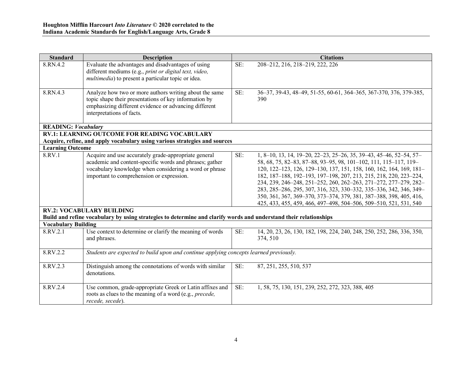| <b>Standard</b>            | <b>Description</b>                                                                                                                                                                                                                                                                                                                                                              |     | <b>Citations</b>                                                                                                                                                                                                                                                                                                                                                                                                                                                                                                                                                        |
|----------------------------|---------------------------------------------------------------------------------------------------------------------------------------------------------------------------------------------------------------------------------------------------------------------------------------------------------------------------------------------------------------------------------|-----|-------------------------------------------------------------------------------------------------------------------------------------------------------------------------------------------------------------------------------------------------------------------------------------------------------------------------------------------------------------------------------------------------------------------------------------------------------------------------------------------------------------------------------------------------------------------------|
| 8.RN.4.2                   | Evaluate the advantages and disadvantages of using<br>different mediums (e.g., print or digital text, video,<br><i>multimedia</i> ) to present a particular topic or idea.                                                                                                                                                                                                      | SE: | 208-212, 216, 218-219, 222, 226                                                                                                                                                                                                                                                                                                                                                                                                                                                                                                                                         |
| 8.RN.4.3                   | Analyze how two or more authors writing about the same<br>topic shape their presentations of key information by<br>emphasizing different evidence or advancing different<br>interpretations of facts.                                                                                                                                                                           | SE: | 36-37, 39-43, 48-49, 51-55, 60-61, 364-365, 367-370, 376, 379-385,<br>390                                                                                                                                                                                                                                                                                                                                                                                                                                                                                               |
| <b>READING: Vocabulary</b> |                                                                                                                                                                                                                                                                                                                                                                                 |     |                                                                                                                                                                                                                                                                                                                                                                                                                                                                                                                                                                         |
|                            | <b>RV.1: LEARNING OUTCOME FOR READING VOCABULARY</b>                                                                                                                                                                                                                                                                                                                            |     |                                                                                                                                                                                                                                                                                                                                                                                                                                                                                                                                                                         |
| <b>Learning Outcome</b>    | Acquire, refine, and apply vocabulary using various strategies and sources                                                                                                                                                                                                                                                                                                      |     |                                                                                                                                                                                                                                                                                                                                                                                                                                                                                                                                                                         |
| 8.RV.1                     | Acquire and use accurately grade-appropriate general<br>academic and content-specific words and phrases; gather<br>vocabulary knowledge when considering a word or phrase<br>important to comprehension or expression.<br><b>RV.2: VOCABULARY BUILDING</b><br>Build and refine vocabulary by using strategies to determine and clarify words and understand their relationships | SE: | 1, 8-10, 13, 14, 19-20, 22-23, 25-26, 35, 39-43, 45-46, 52-54, 57-<br>58, 68, 75, 82-83, 87-88, 93-95, 98, 101-102, 111, 115-117, 119-<br>120, 122-123, 126, 129-130, 137, 151, 158, 160, 162, 164, 169, 181-<br>182, 187-188, 192-193, 197-198, 207, 213, 215, 218, 220, 223-224,<br>234, 239, 246-248, 251-252, 260, 262-263, 271-272, 277-279, 282-<br>283, 285-286, 295, 307, 316, 323, 330-332, 335-336, 342, 346, 349-<br>350, 361, 367, 369-370, 373-374, 379, 381, 387-388, 398, 405, 416,<br>425, 433, 455, 459, 466, 497-498, 504-506, 509-510, 521, 531, 540 |
| <b>Vocabulary Building</b> |                                                                                                                                                                                                                                                                                                                                                                                 |     |                                                                                                                                                                                                                                                                                                                                                                                                                                                                                                                                                                         |
| 8.RV.2.1                   | Use context to determine or clarify the meaning of words<br>and phrases.                                                                                                                                                                                                                                                                                                        | SE: | 14, 20, 23, 26, 130, 182, 198, 224, 240, 248, 250, 252, 286, 336, 350,<br>374, 510                                                                                                                                                                                                                                                                                                                                                                                                                                                                                      |
| 8.RV.2.2                   | Students are expected to build upon and continue applying concepts learned previously.                                                                                                                                                                                                                                                                                          |     |                                                                                                                                                                                                                                                                                                                                                                                                                                                                                                                                                                         |
| 8.RV.2.3                   | Distinguish among the connotations of words with similar<br>denotations.                                                                                                                                                                                                                                                                                                        | SE: | 87, 251, 255, 510, 537                                                                                                                                                                                                                                                                                                                                                                                                                                                                                                                                                  |
| 8.RV.2.4                   | Use common, grade-appropriate Greek or Latin affixes and<br>roots as clues to the meaning of a word (e.g., precede,<br>recede, secede).                                                                                                                                                                                                                                         | SE: | 1, 58, 75, 130, 151, 239, 252, 272, 323, 388, 405                                                                                                                                                                                                                                                                                                                                                                                                                                                                                                                       |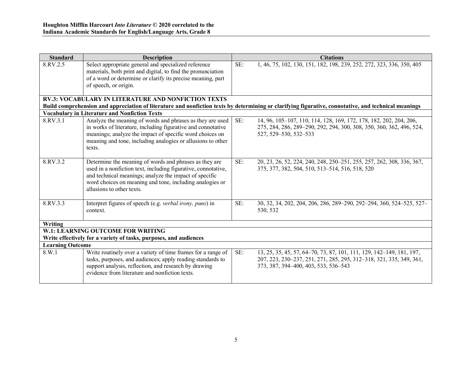| <b>Standard</b>         | <b>Description</b>                                                                                                                                                                                                                                                         |     | <b>Citations</b>                                                                                                                                                                    |  |
|-------------------------|----------------------------------------------------------------------------------------------------------------------------------------------------------------------------------------------------------------------------------------------------------------------------|-----|-------------------------------------------------------------------------------------------------------------------------------------------------------------------------------------|--|
| 8.RV.2.5                | Select appropriate general and specialized reference<br>materials, both print and digital, to find the pronunciation<br>of a word or determine or clarify its precise meaning, part<br>of speech, or origin.                                                               | SE: | 1, 46, 75, 102, 130, 151, 182, 198, 239, 252, 272, 323, 336, 350, 405                                                                                                               |  |
|                         | <b>RV.3: VOCABULARY IN LITERATURE AND NONFICTION TEXTS</b>                                                                                                                                                                                                                 |     |                                                                                                                                                                                     |  |
|                         |                                                                                                                                                                                                                                                                            |     | Build comprehension and appreciation of literature and nonfiction texts by determining or clarifying figurative, connotative, and technical meanings                                |  |
|                         | <b>Vocabulary in Literature and Nonfiction Texts</b>                                                                                                                                                                                                                       |     |                                                                                                                                                                                     |  |
| 8.RV.3.1                | Analyze the meaning of words and phrases as they are used<br>in works of literature, including figurative and connotative<br>meanings; analyze the impact of specific word choices on<br>meaning and tone, including analogies or allusions to other<br>texts.             | SE: | 14, 96, 105-107, 110, 114, 128, 169, 172, 178, 182, 202, 204, 206,<br>275, 284, 286, 289-290, 292, 294, 300, 308, 350, 360, 362, 496, 524,<br>527, 529-530, 532-533                 |  |
| 8.RV.3.2                | Determine the meaning of words and phrases as they are<br>used in a nonfiction text, including figurative, connotative,<br>and technical meanings; analyze the impact of specific<br>word choices on meaning and tone, including analogies or<br>allusions to other texts. | SE: | 20, 23, 26, 52, 224, 240, 248, 250-251, 255, 257, 262, 308, 336, 367,<br>375, 377, 382, 504, 510, 513-514, 516, 518, 520                                                            |  |
| 8.RV.3.3                | Interpret figures of speech (e.g. <i>verbal irony</i> , <i>puns</i> ) in<br>context.                                                                                                                                                                                       | SE: | 30, 32, 34, 202, 204, 206, 286, 289-290, 292-294, 360, 524-525, 527-<br>530, 532                                                                                                    |  |
| Writing                 |                                                                                                                                                                                                                                                                            |     |                                                                                                                                                                                     |  |
|                         | W.1: LEARNING OUTCOME FOR WRITING                                                                                                                                                                                                                                          |     |                                                                                                                                                                                     |  |
|                         | Write effectively for a variety of tasks, purposes, and audiences                                                                                                                                                                                                          |     |                                                                                                                                                                                     |  |
| <b>Learning Outcome</b> |                                                                                                                                                                                                                                                                            |     |                                                                                                                                                                                     |  |
| 8.W.1                   | Write routinely over a variety of time frames for a range of<br>tasks, purposes, and audiences; apply reading standards to<br>support analysis, reflection, and research by drawing<br>evidence from literature and nonfiction texts.                                      | SE: | 13, 25, 35, 45, 57, 64–70, 73, 87, 101, 111, 129, 142–149, 181, 197,<br>207, 223, 230-237, 251, 271, 285, 295, 312-318, 321, 335, 349, 361,<br>373, 387, 394–400, 403, 533, 536–543 |  |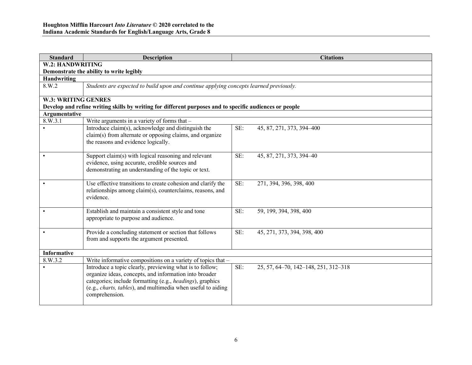| <b>Standard</b>            | <b>Description</b>                                                                                                                                                                                                                                                        | <b>Citations</b>                            |  |  |  |
|----------------------------|---------------------------------------------------------------------------------------------------------------------------------------------------------------------------------------------------------------------------------------------------------------------------|---------------------------------------------|--|--|--|
|                            | W.2: HANDWRITING                                                                                                                                                                                                                                                          |                                             |  |  |  |
|                            | Demonstrate the ability to write legibly                                                                                                                                                                                                                                  |                                             |  |  |  |
|                            | Handwriting                                                                                                                                                                                                                                                               |                                             |  |  |  |
| 8.W.2                      | Students are expected to build upon and continue applying concepts learned previously.                                                                                                                                                                                    |                                             |  |  |  |
| <b>W.3: WRITING GENRES</b> |                                                                                                                                                                                                                                                                           |                                             |  |  |  |
|                            | Develop and refine writing skills by writing for different purposes and to specific audiences or people                                                                                                                                                                   |                                             |  |  |  |
| Argumentative              |                                                                                                                                                                                                                                                                           |                                             |  |  |  |
| 8.W.3.1                    | Write arguments in a variety of forms that -                                                                                                                                                                                                                              |                                             |  |  |  |
|                            | Introduce claim(s), acknowledge and distinguish the<br>claim(s) from alternate or opposing claims, and organize<br>the reasons and evidence logically.                                                                                                                    | SE:<br>45, 87, 271, 373, 394-400            |  |  |  |
|                            | Support claim(s) with logical reasoning and relevant<br>evidence, using accurate, credible sources and<br>demonstrating an understanding of the topic or text.                                                                                                            | SE:<br>45, 87, 271, 373, 394-40             |  |  |  |
|                            | Use effective transitions to create cohesion and clarify the<br>relationships among claim(s), counterclaims, reasons, and<br>evidence.                                                                                                                                    | SE:<br>271, 394, 396, 398, 400              |  |  |  |
|                            | Establish and maintain a consistent style and tone<br>appropriate to purpose and audience.                                                                                                                                                                                | SE:<br>59, 199, 394, 398, 400               |  |  |  |
| $\bullet$                  | Provide a concluding statement or section that follows<br>from and supports the argument presented.                                                                                                                                                                       | SE:<br>45, 271, 373, 394, 398, 400          |  |  |  |
| <b>Informative</b>         |                                                                                                                                                                                                                                                                           |                                             |  |  |  |
| 8.W.3.2                    | Write informative compositions on a variety of topics that -                                                                                                                                                                                                              |                                             |  |  |  |
|                            | Introduce a topic clearly, previewing what is to follow;<br>organize ideas, concepts, and information into broader<br>categories; include formatting (e.g., headings), graphics<br>(e.g., <i>charts, tables</i> ), and multimedia when useful to aiding<br>comprehension. | SE:<br>25, 57, 64-70, 142-148, 251, 312-318 |  |  |  |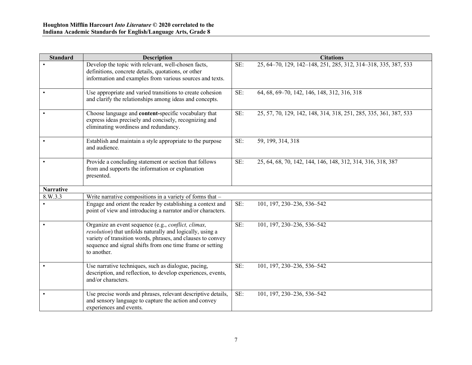| <b>Standard</b>  | <b>Description</b>                                                                                                                                                                                                                                          |     | <b>Citations</b>                                                  |
|------------------|-------------------------------------------------------------------------------------------------------------------------------------------------------------------------------------------------------------------------------------------------------------|-----|-------------------------------------------------------------------|
|                  | Develop the topic with relevant, well-chosen facts,<br>definitions, concrete details, quotations, or other<br>information and examples from various sources and texts.                                                                                      | SE: | 25, 64-70, 129, 142-148, 251, 285, 312, 314-318, 335, 387, 533    |
|                  | Use appropriate and varied transitions to create cohesion<br>and clarify the relationships among ideas and concepts.                                                                                                                                        | SE: | 64, 68, 69-70, 142, 146, 148, 312, 316, 318                       |
|                  | Choose language and content-specific vocabulary that<br>express ideas precisely and concisely, recognizing and<br>eliminating wordiness and redundancy.                                                                                                     | SE: | 25, 57, 70, 129, 142, 148, 314, 318, 251, 285, 335, 361, 387, 533 |
|                  | Establish and maintain a style appropriate to the purpose<br>and audience.                                                                                                                                                                                  | SE: | 59, 199, 314, 318                                                 |
|                  | Provide a concluding statement or section that follows<br>from and supports the information or explanation<br>presented.                                                                                                                                    | SE: | 25, 64, 68, 70, 142, 144, 146, 148, 312, 314, 316, 318, 387       |
| <b>Narrative</b> |                                                                                                                                                                                                                                                             |     |                                                                   |
| 8.W.3.3          | Write narrative compositions in a variety of forms that -                                                                                                                                                                                                   |     |                                                                   |
|                  | Engage and orient the reader by establishing a context and<br>point of view and introducing a narrator and/or characters.                                                                                                                                   | SE: | 101, 197, 230-236, 536-542                                        |
|                  | Organize an event sequence (e.g., conflict, climax,<br>resolution) that unfolds naturally and logically, using a<br>variety of transition words, phrases, and clauses to convey<br>sequence and signal shifts from one time frame or setting<br>to another. | SE: | 101, 197, 230-236, 536-542                                        |
|                  | Use narrative techniques, such as dialogue, pacing,<br>description, and reflection, to develop experiences, events,<br>and/or characters.                                                                                                                   | SE: | 101, 197, 230-236, 536-542                                        |
|                  | Use precise words and phrases, relevant descriptive details,<br>and sensory language to capture the action and convey<br>experiences and events.                                                                                                            | SE: | 101, 197, 230-236, 536-542                                        |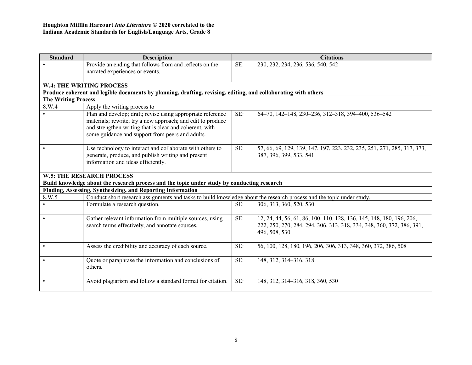| <b>Standard</b>            | <b>Description</b>                                                                                                                                                                                                                        |     | <b>Citations</b>                                                                                                                                               |  |  |
|----------------------------|-------------------------------------------------------------------------------------------------------------------------------------------------------------------------------------------------------------------------------------------|-----|----------------------------------------------------------------------------------------------------------------------------------------------------------------|--|--|
|                            | Provide an ending that follows from and reflects on the<br>narrated experiences or events.                                                                                                                                                | SE: | 230, 232, 234, 236, 536, 540, 542                                                                                                                              |  |  |
|                            |                                                                                                                                                                                                                                           |     |                                                                                                                                                                |  |  |
|                            | <b>W.4: THE WRITING PROCESS</b>                                                                                                                                                                                                           |     |                                                                                                                                                                |  |  |
|                            | Produce coherent and legible documents by planning, drafting, revising, editing, and collaborating with others                                                                                                                            |     |                                                                                                                                                                |  |  |
| <b>The Writing Process</b> |                                                                                                                                                                                                                                           |     |                                                                                                                                                                |  |  |
| 8.W.4                      | Apply the writing process to $-$                                                                                                                                                                                                          |     |                                                                                                                                                                |  |  |
|                            | Plan and develop; draft; revise using appropriate reference<br>materials; rewrite; try a new approach; and edit to produce<br>and strengthen writing that is clear and coherent, with<br>some guidance and support from peers and adults. | SE: | 64-70, 142-148, 230-236, 312-318, 394-400, 536-542                                                                                                             |  |  |
|                            | Use technology to interact and collaborate with others to<br>generate, produce, and publish writing and present<br>information and ideas efficiently.                                                                                     | SE: | 57, 66, 69, 129, 139, 147, 197, 223, 232, 235, 251, 271, 285, 317, 373,<br>387, 396, 399, 533, 541                                                             |  |  |
|                            | <b>W.5: THE RESEARCH PROCESS</b>                                                                                                                                                                                                          |     |                                                                                                                                                                |  |  |
|                            | Build knowledge about the research process and the topic under study by conducting research                                                                                                                                               |     |                                                                                                                                                                |  |  |
|                            | Finding, Assessing, Synthesizing, and Reporting Information                                                                                                                                                                               |     |                                                                                                                                                                |  |  |
| 8.W.5                      | Conduct short research assignments and tasks to build knowledge about the research process and the topic under study.                                                                                                                     |     |                                                                                                                                                                |  |  |
| $\bullet$                  | Formulate a research question.                                                                                                                                                                                                            | SE: | 306, 313, 360, 520, 530                                                                                                                                        |  |  |
| $\bullet$                  | Gather relevant information from multiple sources, using<br>search terms effectively, and annotate sources.                                                                                                                               | SE: | 12, 24, 44, 56, 61, 86, 100, 110, 128, 136, 145, 148, 180, 196, 206,<br>222, 250, 270, 284, 294, 306, 313, 318, 334, 348, 360, 372, 386, 391,<br>496, 508, 530 |  |  |
| $\bullet$                  | Assess the credibility and accuracy of each source.                                                                                                                                                                                       | SE: | 56, 100, 128, 180, 196, 206, 306, 313, 348, 360, 372, 386, 508                                                                                                 |  |  |
|                            | Quote or paraphrase the information and conclusions of<br>others.                                                                                                                                                                         | SE: | 148, 312, 314-316, 318                                                                                                                                         |  |  |
| $\bullet$                  | Avoid plagiarism and follow a standard format for citation.                                                                                                                                                                               | SE: | 148, 312, 314–316, 318, 360, 530                                                                                                                               |  |  |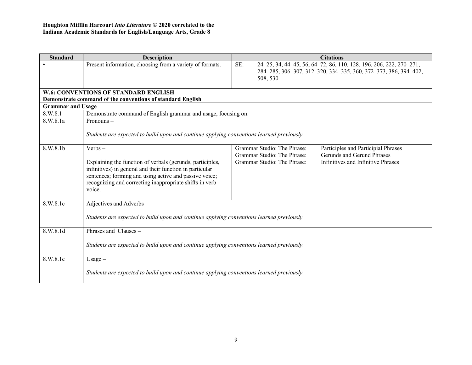| <b>Standard</b>          | <b>Description</b>                                                                                                                                                                                                                                                | <b>Citations</b>                                                                                                                                                                                     |  |  |  |
|--------------------------|-------------------------------------------------------------------------------------------------------------------------------------------------------------------------------------------------------------------------------------------------------------------|------------------------------------------------------------------------------------------------------------------------------------------------------------------------------------------------------|--|--|--|
|                          | Present information, choosing from a variety of formats.                                                                                                                                                                                                          | SE:<br>24-25, 34, 44-45, 56, 64-72, 86, 110, 128, 196, 206, 222, 270-271,<br>284-285, 306-307, 312-320, 334-335, 360, 372-373, 386, 394-402,<br>508, 530                                             |  |  |  |
|                          | <b>W.6: CONVENTIONS OF STANDARD ENGLISH</b>                                                                                                                                                                                                                       |                                                                                                                                                                                                      |  |  |  |
|                          | Demonstrate command of the conventions of standard English                                                                                                                                                                                                        |                                                                                                                                                                                                      |  |  |  |
| <b>Grammar and Usage</b> |                                                                                                                                                                                                                                                                   |                                                                                                                                                                                                      |  |  |  |
| 8.W.8.1                  | Demonstrate command of English grammar and usage, focusing on:                                                                                                                                                                                                    |                                                                                                                                                                                                      |  |  |  |
| 8.W.8.1a                 | Pronouns $-$<br>Students are expected to build upon and continue applying conventions learned previously.                                                                                                                                                         |                                                                                                                                                                                                      |  |  |  |
| 8.W.8.1b                 | $Verbs -$<br>Explaining the function of verbals (gerunds, participles,<br>infinitives) in general and their function in particular<br>sentences; forming and using active and passive voice;<br>recognizing and correcting inappropriate shifts in verb<br>voice. | Grammar Studio: The Phrase:<br>Participles and Participial Phrases<br>Grammar Studio: The Phrase:<br>Gerunds and Gerund Phrases<br>Grammar Studio: The Phrase:<br>Infinitives and Infinitive Phrases |  |  |  |
| 8.W.8.1c                 | Adjectives and Adverbs -<br>Students are expected to build upon and continue applying conventions learned previously.                                                                                                                                             |                                                                                                                                                                                                      |  |  |  |
| 8.W.8.1d                 | Phrases and Clauses -<br>Students are expected to build upon and continue applying conventions learned previously.                                                                                                                                                |                                                                                                                                                                                                      |  |  |  |
| 8.W.8.1e                 | Usage $-$<br>Students are expected to build upon and continue applying conventions learned previously.                                                                                                                                                            |                                                                                                                                                                                                      |  |  |  |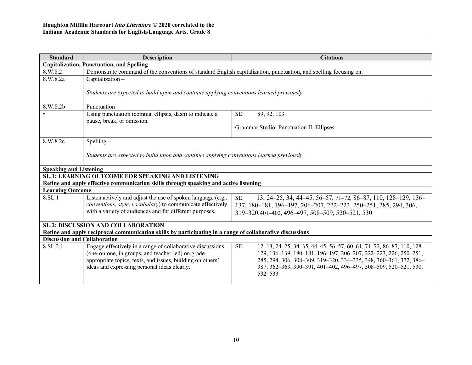| <b>Standard</b>               | <b>Description</b>                                                                                                                                                                                                             | <b>Citations</b>                                                                                                                                                                                                                                                                               |  |  |
|-------------------------------|--------------------------------------------------------------------------------------------------------------------------------------------------------------------------------------------------------------------------------|------------------------------------------------------------------------------------------------------------------------------------------------------------------------------------------------------------------------------------------------------------------------------------------------|--|--|
|                               | <b>Capitalization, Punctuation, and Spelling</b>                                                                                                                                                                               |                                                                                                                                                                                                                                                                                                |  |  |
| 8.W.8.2                       | Demonstrate command of the conventions of standard English capitalization, punctuation, and spelling focusing on:                                                                                                              |                                                                                                                                                                                                                                                                                                |  |  |
| 8.W.8.2a                      | Capitalization-                                                                                                                                                                                                                |                                                                                                                                                                                                                                                                                                |  |  |
|                               | Students are expected to build upon and continue applying conventions learned previously                                                                                                                                       |                                                                                                                                                                                                                                                                                                |  |  |
| 8.W.8.2b                      | Punctuation-                                                                                                                                                                                                                   |                                                                                                                                                                                                                                                                                                |  |  |
|                               | Using punctuation (comma, ellipsis, dash) to indicate a                                                                                                                                                                        | SE:<br>89, 92, 103                                                                                                                                                                                                                                                                             |  |  |
|                               | pause, break, or omission.                                                                                                                                                                                                     |                                                                                                                                                                                                                                                                                                |  |  |
|                               |                                                                                                                                                                                                                                | Grammar Studio: Punctuation II: Ellipses                                                                                                                                                                                                                                                       |  |  |
| 8.W.8.2c                      | $Spelling -$                                                                                                                                                                                                                   |                                                                                                                                                                                                                                                                                                |  |  |
|                               |                                                                                                                                                                                                                                |                                                                                                                                                                                                                                                                                                |  |  |
|                               | Students are expected to build upon and continue applying conventions learned previously.                                                                                                                                      |                                                                                                                                                                                                                                                                                                |  |  |
| <b>Speaking and Listening</b> |                                                                                                                                                                                                                                |                                                                                                                                                                                                                                                                                                |  |  |
|                               | <b>SL.1: LEARNING OUTCOME FOR SPEAKING AND LISTENING</b>                                                                                                                                                                       |                                                                                                                                                                                                                                                                                                |  |  |
|                               | Refine and apply effective communication skills through speaking and active listening                                                                                                                                          |                                                                                                                                                                                                                                                                                                |  |  |
| <b>Learning Outcome</b>       |                                                                                                                                                                                                                                |                                                                                                                                                                                                                                                                                                |  |  |
| 8.SL.1                        | Listen actively and adjust the use of spoken language (e.g.,                                                                                                                                                                   | SE:<br>13, 24–25, 34, 44–45, 56–57, 71–72, 86–87, 110, 128–129, 136–                                                                                                                                                                                                                           |  |  |
|                               | conventions, style, vocabulary) to communicate effectively                                                                                                                                                                     | 137, 180-181, 196-197, 206-207, 222-223, 250-251, 285, 294, 306,                                                                                                                                                                                                                               |  |  |
|                               | with a variety of audiences and for different purposes.                                                                                                                                                                        | 319-320,401-402, 496-497, 508-509, 520-521, 530                                                                                                                                                                                                                                                |  |  |
|                               | <b>SL.2: DISCUSSION AND COLLABORATION</b>                                                                                                                                                                                      |                                                                                                                                                                                                                                                                                                |  |  |
|                               | Refine and apply reciprocal communication skills by participating in a range of collaborative discussions                                                                                                                      |                                                                                                                                                                                                                                                                                                |  |  |
|                               | <b>Discussion and Collaboration</b>                                                                                                                                                                                            |                                                                                                                                                                                                                                                                                                |  |  |
| 8.SL.2.1                      | Engage effectively in a range of collaborative discussions<br>(one-on-one, in groups, and teacher-led) on grade-<br>appropriate topics, texts, and issues, building on others'<br>ideas and expressing personal ideas clearly. | SE:<br>12-13, 24-25, 34-35, 44-45, 56-57, 60-61, 71-72, 86-87, 110, 128-<br>129, 136-139, 180-181, 196-197, 206-207, 222-223, 226, 250-251,<br>285, 294, 306, 308-309, 319-320, 334-335, 348, 360-361, 372, 386-<br>387, 362-363, 390-391, 401-402, 496-497, 508-509, 520-521, 530,<br>532-533 |  |  |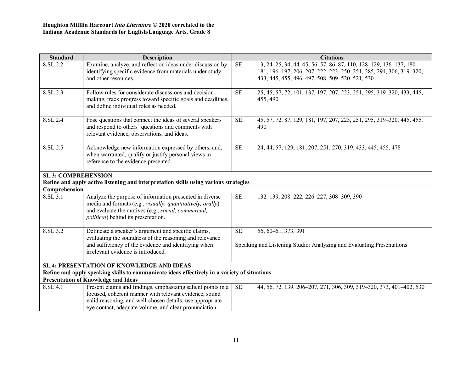| <b>Standard</b>            | <b>Description</b>                                                                                                                                                                                                                            | <b>Citations</b>                                                                                                                                                                            |
|----------------------------|-----------------------------------------------------------------------------------------------------------------------------------------------------------------------------------------------------------------------------------------------|---------------------------------------------------------------------------------------------------------------------------------------------------------------------------------------------|
| 8.SL.2.2                   | Examine, analyze, and reflect on ideas under discussion by<br>identifying specific evidence from materials under study<br>and other resources.                                                                                                | 13, 24–25, 34, 44–45, 56–57, 86–87, 110, 128–129, 136–137, 180–<br>SE:<br>181, 196-197, 206-207, 222-223, 250-251, 285, 294, 306, 319-320,<br>433, 445, 455, 496-497, 508-509, 520-521, 530 |
| 8.SL.2.3                   | Follow rules for considerate discussions and decision-<br>making, track progress toward specific goals and deadlines,<br>and define individual roles as needed.                                                                               | SE:<br>25, 45, 57, 72, 101, 137, 197, 207, 223, 251, 295, 319-320, 433, 445,<br>455, 490                                                                                                    |
| 8.SL.2.4                   | Pose questions that connect the ideas of several speakers<br>and respond to others' questions and comments with<br>relevant evidence, observations, and ideas.                                                                                | SE:<br>45, 57, 72, 87, 129, 181, 197, 207, 223, 251, 295, 319-320, 445, 455,<br>490                                                                                                         |
| 8.SL <sub>2.5</sub>        | Acknowledge new information expressed by others, and,<br>when warranted, qualify or justify personal views in<br>reference to the evidence presented.                                                                                         | SE:<br>24, 44, 57, 129, 181, 207, 251, 270, 319, 433, 445, 455, 478                                                                                                                         |
| <b>SL.3: COMPREHENSION</b> | Refine and apply active listening and interpretation skills using various strategies                                                                                                                                                          |                                                                                                                                                                                             |
| Comprehension              |                                                                                                                                                                                                                                               |                                                                                                                                                                                             |
| 8.SL.3.1                   | Analyze the purpose of information presented in diverse<br>media and formats (e.g., visually, quantitatively, orally)<br>and evaluate the motives (e.g., social, commercial,<br><i>political</i> ) behind its presentation.                   | SE:<br>132-139, 208-222, 226-227, 308-309, 390                                                                                                                                              |
| 8.SL.3.2                   | Delineate a speaker's argument and specific claims,<br>evaluating the soundness of the reasoning and relevance<br>and sufficiency of the evidence and identifying when<br>irrelevant evidence is introduced.                                  | SE:<br>56, 60-61, 373, 391<br>Speaking and Listening Studio: Analyzing and Evaluating Presentations                                                                                         |
|                            | <b>SL.4: PRESENTATION OF KNOWLEDGE AND IDEAS</b>                                                                                                                                                                                              |                                                                                                                                                                                             |
|                            | Refine and apply speaking skills to communicate ideas effectively in a variety of situations                                                                                                                                                  |                                                                                                                                                                                             |
|                            | <b>Presentation of Knowledge and Ideas</b>                                                                                                                                                                                                    |                                                                                                                                                                                             |
| 8.SL.4.1                   | Present claims and findings, emphasizing salient points in a<br>focused, coherent manner with relevant evidence, sound<br>valid reasoning, and well-chosen details; use appropriate<br>eye contact, adequate volume, and clear pronunciation. | SE:<br>44, 56, 72, 139, 206-207, 271, 306, 309, 319-320, 373, 401-402, 530                                                                                                                  |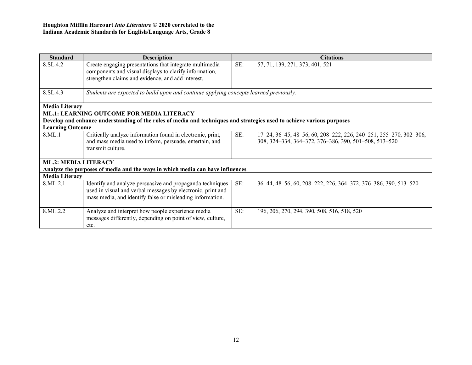| <b>Standard</b>             | <b>Description</b>                                                                                                                                                                    |     | <b>Citations</b>                                                                                                           |
|-----------------------------|---------------------------------------------------------------------------------------------------------------------------------------------------------------------------------------|-----|----------------------------------------------------------------------------------------------------------------------------|
| 8.SL.4.2                    | Create engaging presentations that integrate multimedia                                                                                                                               | SE: | 57, 71, 139, 271, 373, 401, 521                                                                                            |
|                             | components and visual displays to clarify information,                                                                                                                                |     |                                                                                                                            |
|                             | strengthen claims and evidence, and add interest.                                                                                                                                     |     |                                                                                                                            |
|                             |                                                                                                                                                                                       |     |                                                                                                                            |
| 8.SL.4.3                    | Students are expected to build upon and continue applying concepts learned previously.                                                                                                |     |                                                                                                                            |
| <b>Media Literacy</b>       |                                                                                                                                                                                       |     |                                                                                                                            |
|                             | <b>ML.1: LEARNING OUTCOME FOR MEDIA LITERACY</b>                                                                                                                                      |     |                                                                                                                            |
|                             | Develop and enhance understanding of the roles of media and techniques and strategies used to achieve various purposes                                                                |     |                                                                                                                            |
| <b>Learning Outcome</b>     |                                                                                                                                                                                       |     |                                                                                                                            |
| 8.ML.1                      | Critically analyze information found in electronic, print,<br>and mass media used to inform, persuade, entertain, and<br>transmit culture.                                            | SE: | 17-24, 36-45, 48-56, 60, 208-222, 226, 240-251, 255-270, 302-306,<br>308, 324-334, 364-372, 376-386, 390, 501-508, 513-520 |
| <b>ML.2: MEDIA LITERACY</b> |                                                                                                                                                                                       |     |                                                                                                                            |
|                             | Analyze the purposes of media and the ways in which media can have influences                                                                                                         |     |                                                                                                                            |
| <b>Media Literacy</b>       |                                                                                                                                                                                       |     |                                                                                                                            |
| 8.ML.2.1                    | Identify and analyze persuasive and propaganda techniques<br>used in visual and verbal messages by electronic, print and<br>mass media, and identify false or misleading information. | SE: | 36-44, 48-56, 60, 208-222, 226, 364-372, 376-386, 390, 513-520                                                             |
| 8.ML.2.2                    | Analyze and interpret how people experience media<br>messages differently, depending on point of view, culture,<br>etc.                                                               | SE: | 196, 206, 270, 294, 390, 508, 516, 518, 520                                                                                |